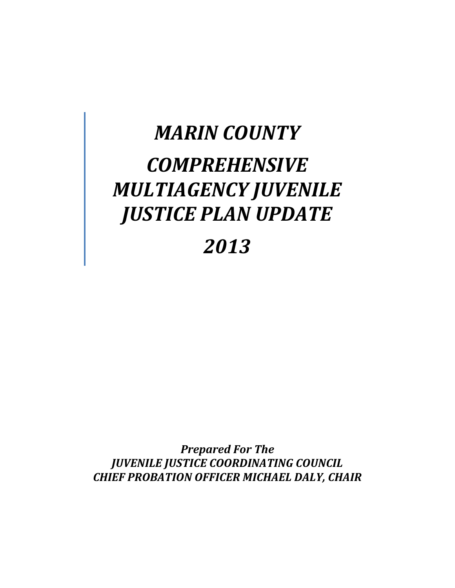# *MARIN COUNTY COMPREHENSIVE MULTIAGENCY JUVENILE JUSTICE PLAN UPDATE*

# *2013*

*Prepared For The JUVENILE JUSTICE COORDINATING COUNCIL CHIEF PROBATION OFFICER MICHAEL DALY, CHAIR*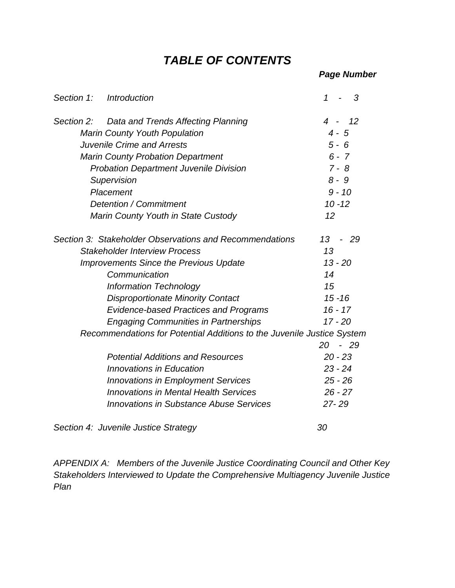### *TABLE OF CONTENTS*

| Section 1: | <b>Introduction</b>                                                    | 1<br>3                                |
|------------|------------------------------------------------------------------------|---------------------------------------|
| Section 2: | Data and Trends Affecting Planning                                     | $\overline{4}$<br>12                  |
|            | <b>Marin County Youth Population</b>                                   | $4 - 5$                               |
|            | <b>Juvenile Crime and Arrests</b>                                      | $5 - 6$                               |
|            | <b>Marin County Probation Department</b>                               | $6 - 7$                               |
|            | <b>Probation Department Juvenile Division</b>                          | $7 - 8$                               |
|            | Supervision                                                            | $8 - 9$                               |
|            | Placement                                                              | $9 - 10$                              |
|            | Detention / Commitment                                                 | $10 - 12$                             |
|            | Marin County Youth in State Custody                                    | 12                                    |
|            | Section 3: Stakeholder Observations and Recommendations                | 13<br>-29<br>$\overline{\phantom{0}}$ |
|            | <b>Stakeholder Interview Process</b>                                   | 13                                    |
|            | <b>Improvements Since the Previous Update</b>                          | $13 - 20$                             |
|            | Communication                                                          | 14                                    |
|            | <b>Information Technology</b>                                          | 15                                    |
|            | <b>Disproportionate Minority Contact</b>                               | $15 - 16$                             |
|            | <b>Evidence-based Practices and Programs</b>                           | $16 - 17$                             |
|            | <b>Engaging Communities in Partnerships</b>                            | $17 - 20$                             |
|            | Recommendations for Potential Additions to the Juvenile Justice System |                                       |
|            |                                                                        | $20 - 29$                             |
|            | <b>Potential Additions and Resources</b>                               | $20 - 23$                             |
|            | Innovations in Education                                               | $23 - 24$                             |
|            | <b>Innovations in Employment Services</b>                              | $25 - 26$                             |
|            | <b>Innovations in Mental Health Services</b>                           | $26 - 27$                             |
|            | <b>Innovations in Substance Abuse Services</b>                         | 27-29                                 |
|            | Section 4: Juvenile Justice Strategy                                   | 30                                    |

*APPENDIX A: Members of the Juvenile Justice Coordinating Council and Other Key Stakeholders Interviewed to Update the Comprehensive Multiagency Juvenile Justice Plan*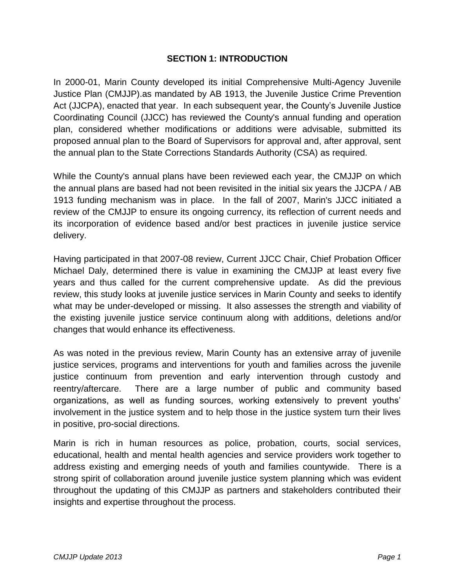#### **SECTION 1: INTRODUCTION**

In 2000-01, Marin County developed its initial Comprehensive Multi-Agency Juvenile Justice Plan (CMJJP).as mandated by AB 1913, the Juvenile Justice Crime Prevention Act (JJCPA), enacted that year. In each subsequent year, the County's Juvenile Justice Coordinating Council (JJCC) has reviewed the County's annual funding and operation plan, considered whether modifications or additions were advisable, submitted its proposed annual plan to the Board of Supervisors for approval and, after approval, sent the annual plan to the State Corrections Standards Authority (CSA) as required.

While the County's annual plans have been reviewed each year, the CMJJP on which the annual plans are based had not been revisited in the initial six years the JJCPA / AB 1913 funding mechanism was in place. In the fall of 2007, Marin's JJCC initiated a review of the CMJJP to ensure its ongoing currency, its reflection of current needs and its incorporation of evidence based and/or best practices in juvenile justice service delivery.

Having participated in that 2007-08 review, Current JJCC Chair, Chief Probation Officer Michael Daly, determined there is value in examining the CMJJP at least every five years and thus called for the current comprehensive update. As did the previous review, this study looks at juvenile justice services in Marin County and seeks to identify what may be under-developed or missing. It also assesses the strength and viability of the existing juvenile justice service continuum along with additions, deletions and/or changes that would enhance its effectiveness.

As was noted in the previous review, Marin County has an extensive array of juvenile justice services, programs and interventions for youth and families across the juvenile justice continuum from prevention and early intervention through custody and reentry/aftercare. There are a large number of public and community based organizations, as well as funding sources, working extensively to prevent youths' involvement in the justice system and to help those in the justice system turn their lives in positive, pro-social directions.

Marin is rich in human resources as police, probation, courts, social services, educational, health and mental health agencies and service providers work together to address existing and emerging needs of youth and families countywide. There is a strong spirit of collaboration around juvenile justice system planning which was evident throughout the updating of this CMJJP as partners and stakeholders contributed their insights and expertise throughout the process.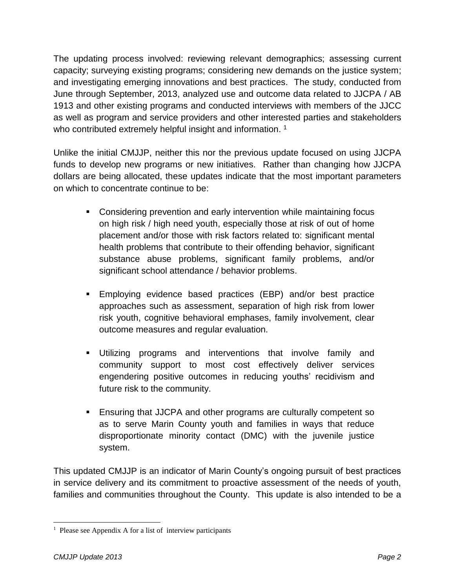The updating process involved: reviewing relevant demographics; assessing current capacity; surveying existing programs; considering new demands on the justice system; and investigating emerging innovations and best practices. The study, conducted from June through September, 2013, analyzed use and outcome data related to JJCPA / AB 1913 and other existing programs and conducted interviews with members of the JJCC as well as program and service providers and other interested parties and stakeholders who contributed extremely helpful insight and information.<sup>1</sup>

Unlike the initial CMJJP, neither this nor the previous update focused on using JJCPA funds to develop new programs or new initiatives. Rather than changing how JJCPA dollars are being allocated, these updates indicate that the most important parameters on which to concentrate continue to be:

- **Considering prevention and early intervention while maintaining focus** on high risk / high need youth, especially those at risk of out of home placement and/or those with risk factors related to: significant mental health problems that contribute to their offending behavior, significant substance abuse problems, significant family problems, and/or significant school attendance / behavior problems.
- Employing evidence based practices (EBP) and/or best practice approaches such as assessment, separation of high risk from lower risk youth, cognitive behavioral emphases, family involvement, clear outcome measures and regular evaluation.
- Utilizing programs and interventions that involve family and community support to most cost effectively deliver services engendering positive outcomes in reducing youths' recidivism and future risk to the community.
- Ensuring that JJCPA and other programs are culturally competent so as to serve Marin County youth and families in ways that reduce disproportionate minority contact (DMC) with the juvenile justice system.

This updated CMJJP is an indicator of Marin County's ongoing pursuit of best practices in service delivery and its commitment to proactive assessment of the needs of youth, families and communities throughout the County. This update is also intended to be a

 $\overline{a}$ <sup>1</sup> Please see Appendix A for a list of interview participants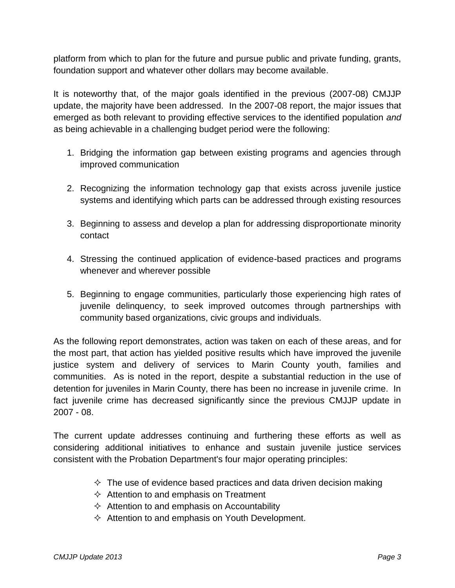platform from which to plan for the future and pursue public and private funding, grants, foundation support and whatever other dollars may become available.

It is noteworthy that, of the major goals identified in the previous (2007-08) CMJJP update, the majority have been addressed. In the 2007-08 report, the major issues that emerged as both relevant to providing effective services to the identified population *and* as being achievable in a challenging budget period were the following:

- 1. Bridging the information gap between existing programs and agencies through improved communication
- 2. Recognizing the information technology gap that exists across juvenile justice systems and identifying which parts can be addressed through existing resources
- 3. Beginning to assess and develop a plan for addressing disproportionate minority contact
- 4. Stressing the continued application of evidence-based practices and programs whenever and wherever possible
- 5. Beginning to engage communities, particularly those experiencing high rates of juvenile delinquency, to seek improved outcomes through partnerships with community based organizations, civic groups and individuals.

As the following report demonstrates, action was taken on each of these areas, and for the most part, that action has yielded positive results which have improved the juvenile justice system and delivery of services to Marin County youth, families and communities. As is noted in the report, despite a substantial reduction in the use of detention for juveniles in Marin County, there has been no increase in juvenile crime. In fact juvenile crime has decreased significantly since the previous CMJJP update in 2007 - 08.

The current update addresses continuing and furthering these efforts as well as considering additional initiatives to enhance and sustain juvenile justice services consistent with the Probation Department's four major operating principles:

- $\Diamond$  The use of evidence based practices and data driven decision making
- $\Diamond$  Attention to and emphasis on Treatment
- $\Diamond$  Attention to and emphasis on Accountability
- $\Diamond$  Attention to and emphasis on Youth Development.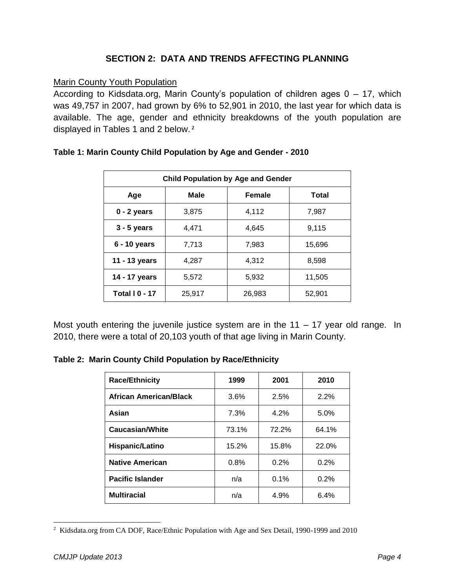#### **SECTION 2: DATA AND TRENDS AFFECTING PLANNING**

#### Marin County Youth Population

According to Kidsdata.org, Marin County's population of children ages 0 – 17, which was 49,757 in 2007, had grown by 6% to 52,901 in 2010, the last year for which data is available. The age, gender and ethnicity breakdowns of the youth population are displayed in Tables 1 and 2 below. **<sup>2</sup>**

| <b>Child Population by Age and Gender</b> |        |        |        |  |  |  |  |
|-------------------------------------------|--------|--------|--------|--|--|--|--|
| Female<br>Male<br><b>Total</b><br>Age     |        |        |        |  |  |  |  |
| $0 - 2$ years                             | 3,875  | 4,112  | 7,987  |  |  |  |  |
| $3 - 5$ years                             | 4.471  | 4.645  | 9,115  |  |  |  |  |
| 6 - 10 years                              | 7,713  | 7,983  | 15,696 |  |  |  |  |
| 11 - 13 years                             | 4.287  |        | 8,598  |  |  |  |  |
| 14 - 17 years                             | 5,572  | 5,932  | 11,505 |  |  |  |  |
| <b>Total   0 - 17</b>                     | 25,917 | 26,983 | 52,901 |  |  |  |  |

#### **Table 1: Marin County Child Population by Age and Gender - 2010**

Most youth entering the juvenile justice system are in the  $11 - 17$  year old range. In 2010, there were a total of 20,103 youth of that age living in Marin County.

**Table 2: Marin County Child Population by Race/Ethnicity**

| <b>Race/Ethnicity</b>         | 1999  | 2001  | 2010  |
|-------------------------------|-------|-------|-------|
| <b>African American/Black</b> | 3.6%  | 2.5%  | 2.2%  |
| Asian                         | 7.3%  | 4.2%  | 5.0%  |
| <b>Caucasian/White</b>        | 73.1% | 72.2% | 64.1% |
| Hispanic/Latino               | 15.2% | 15.8% | 22.0% |
| <b>Native American</b>        | 0.8%  | 0.2%  | 0.2%  |
| <b>Pacific Islander</b>       | n/a   | 0.1%  | 0.2%  |
| <b>Multiracial</b>            | n/a   | 4.9%  | 6.4%  |

 $\overline{a}$ <sup>2</sup> Kidsdata.org from CA DOF, Race/Ethnic Population with Age and Sex Detail, 1990-1999 and 2010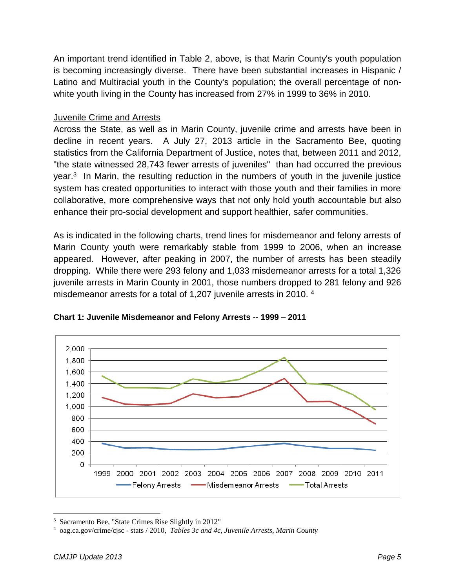An important trend identified in Table 2, above, is that Marin County's youth population is becoming increasingly diverse. There have been substantial increases in Hispanic / Latino and Multiracial youth in the County's population; the overall percentage of nonwhite youth living in the County has increased from 27% in 1999 to 36% in 2010.

#### Juvenile Crime and Arrests

Across the State, as well as in Marin County, juvenile crime and arrests have been in decline in recent years. A July 27, 2013 article in the Sacramento Bee, quoting statistics from the California Department of Justice, notes that, between 2011 and 2012, "the state witnessed 28,743 fewer arrests of juveniles" than had occurred the previous year.<sup>3</sup> In Marin, the resulting reduction in the numbers of youth in the juvenile justice system has created opportunities to interact with those youth and their families in more collaborative, more comprehensive ways that not only hold youth accountable but also enhance their pro-social development and support healthier, safer communities.

As is indicated in the following charts, trend lines for misdemeanor and felony arrests of Marin County youth were remarkably stable from 1999 to 2006, when an increase appeared. However, after peaking in 2007, the number of arrests has been steadily dropping. While there were 293 felony and 1,033 misdemeanor arrests for a total 1,326 juvenile arrests in Marin County in 2001, those numbers dropped to 281 felony and 926 misdemeanor arrests for a total of 1,207 juvenile arrests in 2010. <sup>4</sup>



#### **Chart 1: Juvenile Misdemeanor and Felony Arrests -- 1999 – 2011**

l 3 Sacramento Bee, "State Crimes Rise Slightly in 2012"

<sup>4</sup> oag.ca.gov/crime/cjsc - stats / 2010, *Tables 3c and 4c, Juvenile Arrests, Marin County*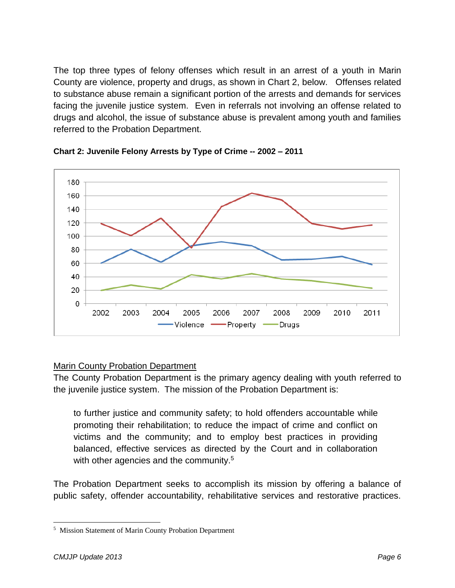The top three types of felony offenses which result in an arrest of a youth in Marin County are violence, property and drugs, as shown in Chart 2, below. Offenses related to substance abuse remain a significant portion of the arrests and demands for services facing the juvenile justice system. Even in referrals not involving an offense related to drugs and alcohol, the issue of substance abuse is prevalent among youth and families referred to the Probation Department.



**Chart 2: Juvenile Felony Arrests by Type of Crime -- 2002 – 2011**

#### Marin County Probation Department

The County Probation Department is the primary agency dealing with youth referred to the juvenile justice system. The mission of the Probation Department is:

to further justice and community safety; to hold offenders accountable while promoting their rehabilitation; to reduce the impact of crime and conflict on victims and the community; and to employ best practices in providing balanced, effective services as directed by the Court and in collaboration with other agencies and the community.<sup>5</sup>

The Probation Department seeks to accomplish its mission by offering a balance of public safety, offender accountability, rehabilitative services and restorative practices.

 $\overline{a}$ 

<sup>&</sup>lt;sup>5</sup> Mission Statement of Marin County Probation Department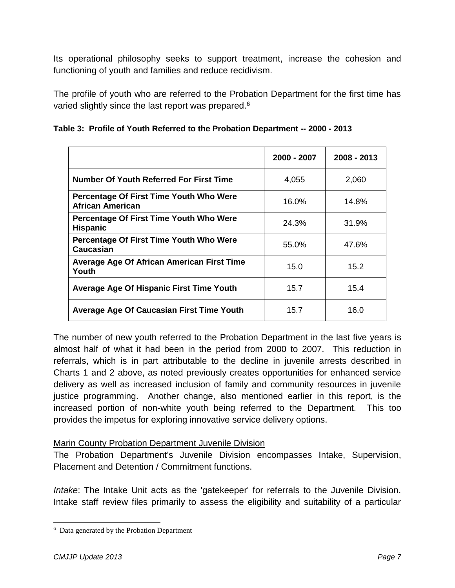Its operational philosophy seeks to support treatment, increase the cohesion and functioning of youth and families and reduce recidivism.

The profile of youth who are referred to the Probation Department for the first time has varied slightly since the last report was prepared.<sup>6</sup>

|  |  | Table 3: Profile of Youth Referred to the Probation Department -- 2000 - 2013 |  |
|--|--|-------------------------------------------------------------------------------|--|
|  |  |                                                                               |  |

|                                                             | 2000 - 2007 | 2008 - 2013 |
|-------------------------------------------------------------|-------------|-------------|
| Number Of Youth Referred For First Time                     | 4,055       | 2,060       |
| Percentage Of First Time Youth Who Were<br>African American | 16.0%       | 14.8%       |
| Percentage Of First Time Youth Who Were<br><b>Hispanic</b>  | 24.3%       | 31.9%       |
| Percentage Of First Time Youth Who Were<br>Caucasian        | 55.0%       | 47.6%       |
| Average Age Of African American First Time<br>Youth         | 15.0        | 15.2        |
| Average Age Of Hispanic First Time Youth                    | 15.7        | 15.4        |
| Average Age Of Caucasian First Time Youth                   | 15.7        | 16.0        |

The number of new youth referred to the Probation Department in the last five years is almost half of what it had been in the period from 2000 to 2007. This reduction in referrals, which is in part attributable to the decline in juvenile arrests described in Charts 1 and 2 above, as noted previously creates opportunities for enhanced service delivery as well as increased inclusion of family and community resources in juvenile justice programming. Another change, also mentioned earlier in this report, is the increased portion of non-white youth being referred to the Department. This too provides the impetus for exploring innovative service delivery options.

#### Marin County Probation Department Juvenile Division

The Probation Department's Juvenile Division encompasses Intake, Supervision, Placement and Detention / Commitment functions.

*Intake*: The Intake Unit acts as the 'gatekeeper' for referrals to the Juvenile Division. Intake staff review files primarily to assess the eligibility and suitability of a particular

 $\overline{a}$ 

<sup>&</sup>lt;sup>6</sup> Data generated by the Probation Department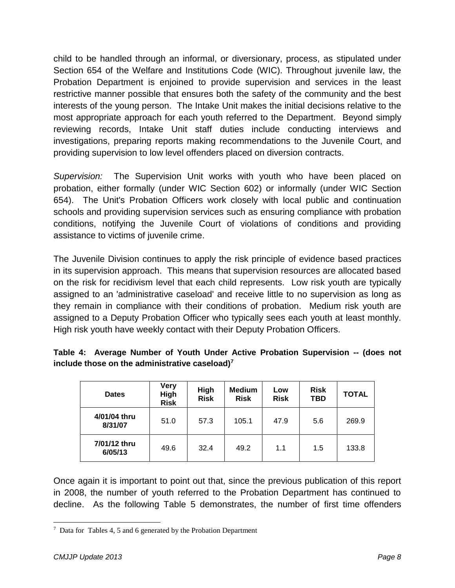child to be handled through an informal, or diversionary, process, as stipulated under Section 654 of the Welfare and Institutions Code (WIC). Throughout juvenile law, the Probation Department is enjoined to provide supervision and services in the least restrictive manner possible that ensures both the safety of the community and the best interests of the young person. The Intake Unit makes the initial decisions relative to the most appropriate approach for each youth referred to the Department. Beyond simply reviewing records, Intake Unit staff duties include conducting interviews and investigations, preparing reports making recommendations to the Juvenile Court, and providing supervision to low level offenders placed on diversion contracts.

*Supervision:* The Supervision Unit works with youth who have been placed on probation, either formally (under WIC Section 602) or informally (under WIC Section 654). The Unit's Probation Officers work closely with local public and continuation schools and providing supervision services such as ensuring compliance with probation conditions, notifying the Juvenile Court of violations of conditions and providing assistance to victims of juvenile crime.

The Juvenile Division continues to apply the risk principle of evidence based practices in its supervision approach. This means that supervision resources are allocated based on the risk for recidivism level that each child represents. Low risk youth are typically assigned to an 'administrative caseload' and receive little to no supervision as long as they remain in compliance with their conditions of probation. Medium risk youth are assigned to a Deputy Probation Officer who typically sees each youth at least monthly. High risk youth have weekly contact with their Deputy Probation Officers.

|                                                   |  |  |  | Table 4: Average Number of Youth Under Active Probation Supervision -- (does not |  |  |
|---------------------------------------------------|--|--|--|----------------------------------------------------------------------------------|--|--|
| include those on the administrative caseload) $7$ |  |  |  |                                                                                  |  |  |

| <b>Dates</b>            | <b>Very</b><br>High<br><b>Risk</b> | High<br><b>Risk</b> | <b>Medium</b><br><b>Risk</b> | Low<br><b>Risk</b> | <b>Risk</b><br>TBD | <b>TOTAL</b> |
|-------------------------|------------------------------------|---------------------|------------------------------|--------------------|--------------------|--------------|
| 4/01/04 thru<br>8/31/07 | 51.0                               | 57.3                | 105.1                        | 47.9               | 5.6                | 269.9        |
| 7/01/12 thru<br>6/05/13 | 49.6                               | 32.4                | 49.2                         | 1.1                | 1.5                | 133.8        |

Once again it is important to point out that, since the previous publication of this report in 2008, the number of youth referred to the Probation Department has continued to decline. As the following Table 5 demonstrates, the number of first time offenders

 $\overline{a}$  $7$  Data for Tables 4, 5 and 6 generated by the Probation Department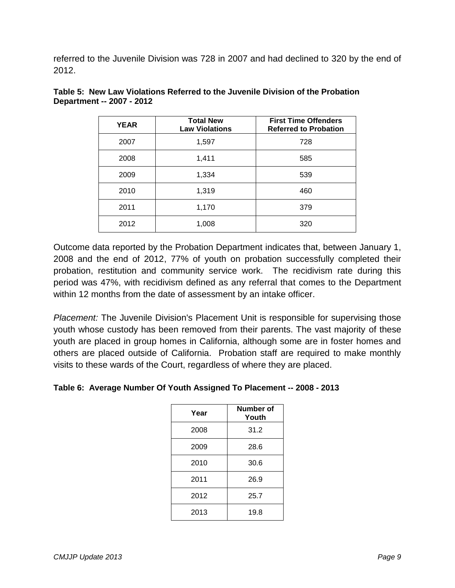referred to the Juvenile Division was 728 in 2007 and had declined to 320 by the end of 2012.

| <b>YEAR</b> | <b>Total New</b><br><b>Law Violations</b> | <b>First Time Offenders</b><br><b>Referred to Probation</b> |
|-------------|-------------------------------------------|-------------------------------------------------------------|
| 2007        | 1,597                                     | 728                                                         |
| 2008        | 1,411                                     | 585                                                         |
| 2009        | 1,334                                     | 539                                                         |
| 2010        | 1,319                                     | 460                                                         |
| 2011        | 1,170                                     | 379                                                         |
| 2012        | 1,008                                     | 320                                                         |

|                           |  |  | Table 5: New Law Violations Referred to the Juvenile Division of the Probation |  |
|---------------------------|--|--|--------------------------------------------------------------------------------|--|
| Department -- 2007 - 2012 |  |  |                                                                                |  |

Outcome data reported by the Probation Department indicates that, between January 1, 2008 and the end of 2012, 77% of youth on probation successfully completed their probation, restitution and community service work. The recidivism rate during this period was 47%, with recidivism defined as any referral that comes to the Department within 12 months from the date of assessment by an intake officer.

*Placement:* The Juvenile Division's Placement Unit is responsible for supervising those youth whose custody has been removed from their parents. The vast majority of these youth are placed in group homes in California, although some are in foster homes and others are placed outside of California. Probation staff are required to make monthly visits to these wards of the Court, regardless of where they are placed.

|  |  |  |  |  |  |  | Table 6: Average Number Of Youth Assigned To Placement -- 2008 - 2013 |  |  |
|--|--|--|--|--|--|--|-----------------------------------------------------------------------|--|--|
|--|--|--|--|--|--|--|-----------------------------------------------------------------------|--|--|

| Year | Number of<br>Youth |
|------|--------------------|
| 2008 | 31.2               |
| 2009 | 28.6               |
| 2010 | 30.6               |
| 2011 | 26.9               |
| 2012 | 25.7               |
| 2013 | 19.8               |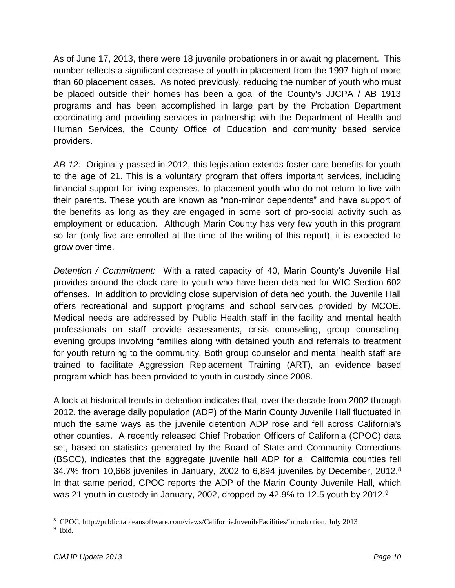As of June 17, 2013, there were 18 juvenile probationers in or awaiting placement. This number reflects a significant decrease of youth in placement from the 1997 high of more than 60 placement cases. As noted previously, reducing the number of youth who must be placed outside their homes has been a goal of the County's JJCPA / AB 1913 programs and has been accomplished in large part by the Probation Department coordinating and providing services in partnership with the Department of Health and Human Services, the County Office of Education and community based service providers.

*AB 12:* Originally passed in 2012, this legislation extends foster care benefits for youth to the age of 21. This is a voluntary program that offers important services, including financial support for living expenses, to placement youth who do not return to live with their parents. These youth are known as "non-minor dependents" and have support of the benefits as long as they are engaged in some sort of pro-social activity such as employment or education. Although Marin County has very few youth in this program so far (only five are enrolled at the time of the writing of this report), it is expected to grow over time.

*Detention / Commitment:* With a rated capacity of 40, Marin County's Juvenile Hall provides around the clock care to youth who have been detained for WIC Section 602 offenses. In addition to providing close supervision of detained youth, the Juvenile Hall offers recreational and support programs and school services provided by MCOE. Medical needs are addressed by Public Health staff in the facility and mental health professionals on staff provide assessments, crisis counseling, group counseling, evening groups involving families along with detained youth and referrals to treatment for youth returning to the community. Both group counselor and mental health staff are trained to facilitate Aggression Replacement Training (ART), an evidence based program which has been provided to youth in custody since 2008.

A look at historical trends in detention indicates that, over the decade from 2002 through 2012, the average daily population (ADP) of the Marin County Juvenile Hall fluctuated in much the same ways as the juvenile detention ADP rose and fell across California's other counties. A recently released Chief Probation Officers of California (CPOC) data set, based on statistics generated by the Board of State and Community Corrections (BSCC), indicates that the aggregate juvenile hall ADP for all California counties fell 34.7% from 10,668 juveniles in January, 2002 to 6,894 juveniles by December, 2012.<sup>8</sup> In that same period, CPOC reports the ADP of the Marin County Juvenile Hall, which was 21 youth in custody in January, 2002, dropped by 42.9% to 12.5 youth by 2012. $9$ 

l 8 CPOC, http://public.tableausoftware.com/views/CaliforniaJuvenileFacilities/Introduction, July 2013

<sup>&</sup>lt;sup>9</sup> Ibid.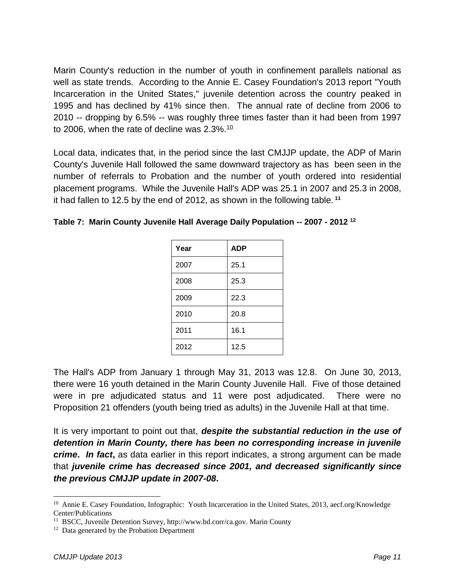Marin County's reduction in the number of youth in confinement parallels national as well as state trends. According to the Annie E. Casey Foundation's 2013 report "Youth Incarceration in the United States," juvenile detention across the country peaked in 1995 and has declined by 41% since then. The annual rate of decline from 2006 to 2010 -- dropping by 6.5% -- was roughly three times faster than it had been from 1997 to 2006, when the rate of decline was 2.3%. $^{10}$ 

Local data, indicates that, in the period since the last CMJJP update, the ADP of Marin County's Juvenile Hall followed the same downward trajectory as has been seen in the number of referrals to Probation and the number of youth ordered into residential placement programs. While the Juvenile Hall's ADP was 25.1 in 2007 and 25.3 in 2008, it had fallen to 12.5 by the end of 2012, as shown in the following table. **<sup>11</sup>**

| Year | <b>ADP</b> |
|------|------------|
| 2007 | 25.1       |
| 2008 | 25.3       |
| 2009 | 22.3       |
| 2010 | 20.8       |
| 2011 | 16.1       |
| 2012 | 12.5       |

**Table 7: Marin County Juvenile Hall Average Daily Population -- 2007 - 2012 <sup>12</sup>**

The Hall's ADP from January 1 through May 31, 2013 was 12.8*.* On June 30, 2013, there were 16 youth detained in the Marin County Juvenile Hall. Five of those detained were in pre adjudicated status and 11 were post adjudicated. There were no Proposition 21 offenders (youth being tried as adults) in the Juvenile Hall at that time.

It is very important to point out that, *despite the substantial reduction in the use of detention in Marin County, there has been no corresponding increase in juvenile crime***.** *In fact***,** as data earlier in this report indicates, a strong argument can be made that *juvenile crime has decreased since 2001, and decreased significantly since the previous CMJJP update in 2007-08***.** 

 $\overline{a}$ 

<sup>&</sup>lt;sup>10</sup> Annie E. Casey Foundation, Infographic: Youth Incarceration in the United States, 2013, aecf.org/Knowledge Center/Publications

<sup>&</sup>lt;sup>11</sup> BSCC, Juvenile Detention Survey, http://www.bd.corr/ca.gov. Marin County

<sup>&</sup>lt;sup>12</sup> Data generated by the Probation Department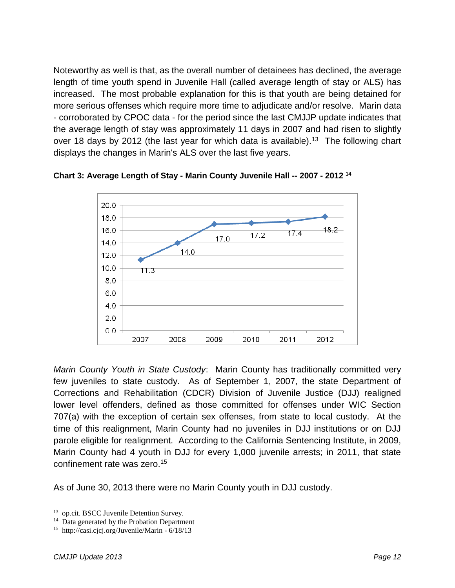Noteworthy as well is that, as the overall number of detainees has declined, the average length of time youth spend in Juvenile Hall (called average length of stay or ALS) has increased. The most probable explanation for this is that youth are being detained for more serious offenses which require more time to adjudicate and/or resolve. Marin data - corroborated by CPOC data - for the period since the last CMJJP update indicates that the average length of stay was approximately 11 days in 2007 and had risen to slightly over 18 days by 2012 (the last year for which data is available).<sup>13</sup> The following chart displays the changes in Marin's ALS over the last five years.



**Chart 3: Average Length of Stay - Marin County Juvenile Hall -- 2007 - 2012 <sup>14</sup>**

*Marin County Youth in State Custody*: Marin County has traditionally committed very few juveniles to state custody. As of September 1, 2007, the state Department of Corrections and Rehabilitation (CDCR) Division of Juvenile Justice (DJJ) realigned lower level offenders, defined as those committed for offenses under WIC Section 707(a) with the exception of certain sex offenses, from state to local custody. At the time of this realignment, Marin County had no juveniles in DJJ institutions or on DJJ parole eligible for realignment. According to the California Sentencing Institute, in 2009, Marin County had 4 youth in DJJ for every 1,000 juvenile arrests; in 2011, that state confinement rate was zero.<sup>15</sup>

As of June 30, 2013 there were no Marin County youth in DJJ custody.

l <sup>13</sup> op.cit. BSCC Juvenile Detention Survey.

<sup>&</sup>lt;sup>14</sup> Data generated by the Probation Department

<sup>15</sup> http://casi.cjcj.org/Juvenile/Marin - 6/18/13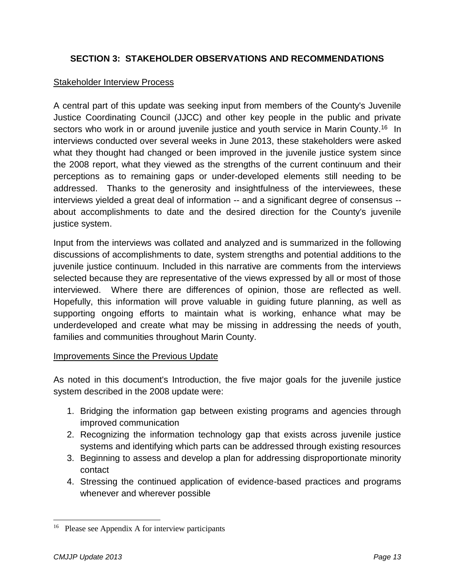#### **SECTION 3: STAKEHOLDER OBSERVATIONS AND RECOMMENDATIONS**

#### Stakeholder Interview Process

A central part of this update was seeking input from members of the County's Juvenile Justice Coordinating Council (JJCC) and other key people in the public and private sectors who work in or around juvenile justice and youth service in Marin County.<sup>16</sup> In interviews conducted over several weeks in June 2013, these stakeholders were asked what they thought had changed or been improved in the juvenile justice system since the 2008 report, what they viewed as the strengths of the current continuum and their perceptions as to remaining gaps or under-developed elements still needing to be addressed. Thanks to the generosity and insightfulness of the interviewees, these interviews yielded a great deal of information -- and a significant degree of consensus - about accomplishments to date and the desired direction for the County's juvenile justice system.

Input from the interviews was collated and analyzed and is summarized in the following discussions of accomplishments to date, system strengths and potential additions to the juvenile justice continuum. Included in this narrative are comments from the interviews selected because they are representative of the views expressed by all or most of those interviewed. Where there are differences of opinion, those are reflected as well. Hopefully, this information will prove valuable in guiding future planning, as well as supporting ongoing efforts to maintain what is working, enhance what may be underdeveloped and create what may be missing in addressing the needs of youth, families and communities throughout Marin County.

#### Improvements Since the Previous Update

As noted in this document's Introduction, the five major goals for the juvenile justice system described in the 2008 update were:

- 1. Bridging the information gap between existing programs and agencies through improved communication
- 2. Recognizing the information technology gap that exists across juvenile justice systems and identifying which parts can be addressed through existing resources
- 3. Beginning to assess and develop a plan for addressing disproportionate minority contact
- 4. Stressing the continued application of evidence-based practices and programs whenever and wherever possible

l

<sup>&</sup>lt;sup>16</sup> Please see Appendix A for interview participants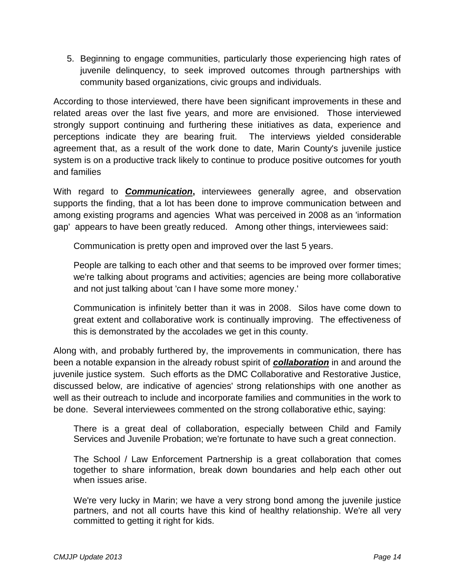5. Beginning to engage communities, particularly those experiencing high rates of juvenile delinquency, to seek improved outcomes through partnerships with community based organizations, civic groups and individuals.

According to those interviewed, there have been significant improvements in these and related areas over the last five years, and more are envisioned. Those interviewed strongly support continuing and furthering these initiatives as data, experience and perceptions indicate they are bearing fruit. The interviews yielded considerable agreement that, as a result of the work done to date, Marin County's juvenile justice system is on a productive track likely to continue to produce positive outcomes for youth and families

With regard to *Communication***,** interviewees generally agree, and observation supports the finding, that a lot has been done to improve communication between and among existing programs and agencies What was perceived in 2008 as an 'information gap' appears to have been greatly reduced. Among other things, interviewees said:

Communication is pretty open and improved over the last 5 years.

People are talking to each other and that seems to be improved over former times; we're talking about programs and activities; agencies are being more collaborative and not just talking about 'can I have some more money.'

Communication is infinitely better than it was in 2008. Silos have come down to great extent and collaborative work is continually improving. The effectiveness of this is demonstrated by the accolades we get in this county.

Along with, and probably furthered by, the improvements in communication, there has been a notable expansion in the already robust spirit of *collaboration* in and around the juvenile justice system. Such efforts as the DMC Collaborative and Restorative Justice, discussed below, are indicative of agencies' strong relationships with one another as well as their outreach to include and incorporate families and communities in the work to be done. Several interviewees commented on the strong collaborative ethic, saying:

There is a great deal of collaboration, especially between Child and Family Services and Juvenile Probation; we're fortunate to have such a great connection.

The School / Law Enforcement Partnership is a great collaboration that comes together to share information, break down boundaries and help each other out when issues arise.

We're very lucky in Marin; we have a very strong bond among the juvenile justice partners, and not all courts have this kind of healthy relationship. We're all very committed to getting it right for kids.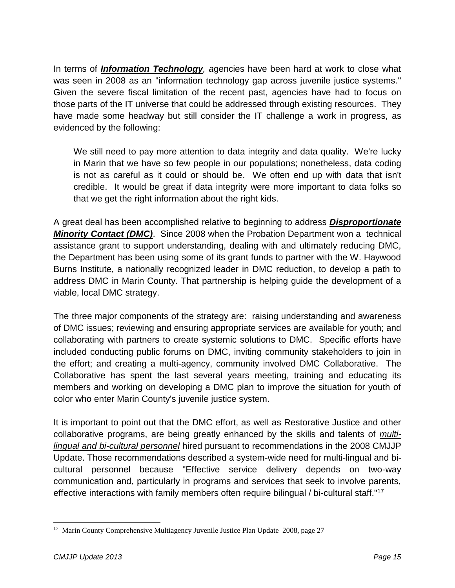In terms of *Information Technology, a*gencies have been hard at work to close what was seen in 2008 as an "information technology gap across juvenile justice systems." Given the severe fiscal limitation of the recent past, agencies have had to focus on those parts of the IT universe that could be addressed through existing resources. They have made some headway but still consider the IT challenge a work in progress, as evidenced by the following:

We still need to pay more attention to data integrity and data quality. We're lucky in Marin that we have so few people in our populations; nonetheless, data coding is not as careful as it could or should be. We often end up with data that isn't credible. It would be great if data integrity were more important to data folks so that we get the right information about the right kids.

A great deal has been accomplished relative to beginning to address *Disproportionate Minority Contact (DMC)*. Since 2008 when the Probation Department won a technical assistance grant to support understanding, dealing with and ultimately reducing DMC, the Department has been using some of its grant funds to partner with the W. Haywood Burns Institute, a nationally recognized leader in DMC reduction, to develop a path to address DMC in Marin County. That partnership is helping guide the development of a viable, local DMC strategy.

The three major components of the strategy are: raising understanding and awareness of DMC issues; reviewing and ensuring appropriate services are available for youth; and collaborating with partners to create systemic solutions to DMC. Specific efforts have included conducting public forums on DMC, inviting community stakeholders to join in the effort; and creating a multi-agency, community involved DMC Collaborative. The Collaborative has spent the last several years meeting, training and educating its members and working on developing a DMC plan to improve the situation for youth of color who enter Marin County's juvenile justice system.

It is important to point out that the DMC effort, as well as Restorative Justice and other collaborative programs, are being greatly enhanced by the skills and talents of *multilingual and bi-cultural personnel* hired pursuant to recommendations in the 2008 CMJJP Update. Those recommendations described a system-wide need for multi-lingual and bicultural personnel because "Effective service delivery depends on two-way communication and, particularly in programs and services that seek to involve parents, effective interactions with family members often require bilingual / bi-cultural staff."<sup>17</sup>

 $\overline{a}$ <sup>17</sup> Marin County Comprehensive Multiagency Juvenile Justice Plan Update 2008, page 27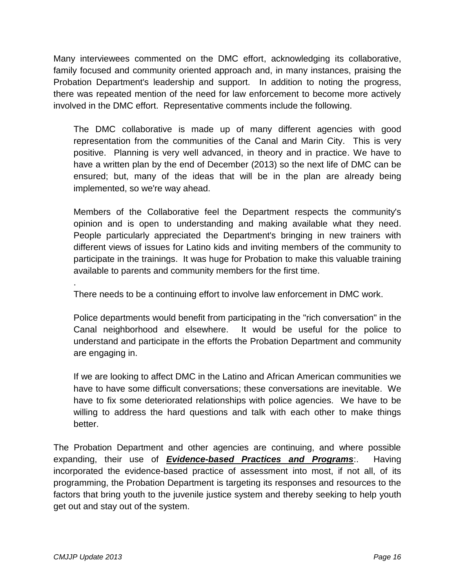Many interviewees commented on the DMC effort, acknowledging its collaborative, family focused and community oriented approach and, in many instances, praising the Probation Department's leadership and support. In addition to noting the progress, there was repeated mention of the need for law enforcement to become more actively involved in the DMC effort. Representative comments include the following.

The DMC collaborative is made up of many different agencies with good representation from the communities of the Canal and Marin City. This is very positive. Planning is very well advanced, in theory and in practice. We have to have a written plan by the end of December (2013) so the next life of DMC can be ensured; but, many of the ideas that will be in the plan are already being implemented, so we're way ahead.

Members of the Collaborative feel the Department respects the community's opinion and is open to understanding and making available what they need. People particularly appreciated the Department's bringing in new trainers with different views of issues for Latino kids and inviting members of the community to participate in the trainings. It was huge for Probation to make this valuable training available to parents and community members for the first time.

There needs to be a continuing effort to involve law enforcement in DMC work.

Police departments would benefit from participating in the "rich conversation" in the Canal neighborhood and elsewhere. It would be useful for the police to understand and participate in the efforts the Probation Department and community are engaging in.

If we are looking to affect DMC in the Latino and African American communities we have to have some difficult conversations; these conversations are inevitable. We have to fix some deteriorated relationships with police agencies. We have to be willing to address the hard questions and talk with each other to make things better.

The Probation Department and other agencies are continuing, and where possible expanding, their use of *Evidence-based Practices and Programs*:. Having incorporated the evidence-based practice of assessment into most, if not all, of its programming, the Probation Department is targeting its responses and resources to the factors that bring youth to the juvenile justice system and thereby seeking to help youth get out and stay out of the system.

.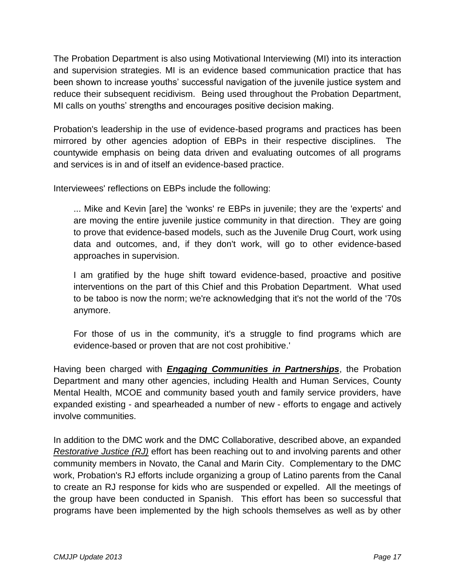The Probation Department is also using Motivational Interviewing (MI) into its interaction and supervision strategies. MI is an evidence based communication practice that has been shown to increase youths' successful navigation of the juvenile justice system and reduce their subsequent recidivism. Being used throughout the Probation Department, MI calls on youths' strengths and encourages positive decision making.

Probation's leadership in the use of evidence-based programs and practices has been mirrored by other agencies adoption of EBPs in their respective disciplines. The countywide emphasis on being data driven and evaluating outcomes of all programs and services is in and of itself an evidence-based practice.

Interviewees' reflections on EBPs include the following:

... Mike and Kevin [are] the 'wonks' re EBPs in juvenile; they are the 'experts' and are moving the entire juvenile justice community in that direction. They are going to prove that evidence-based models, such as the Juvenile Drug Court, work using data and outcomes, and, if they don't work, will go to other evidence-based approaches in supervision.

I am gratified by the huge shift toward evidence-based, proactive and positive interventions on the part of this Chief and this Probation Department. What used to be taboo is now the norm; we're acknowledging that it's not the world of the '70s anymore.

For those of us in the community, it's a struggle to find programs which are evidence-based or proven that are not cost prohibitive.'

Having been charged with *Engaging Communities in Partnerships*, the Probation Department and many other agencies, including Health and Human Services, County Mental Health, MCOE and community based youth and family service providers, have expanded existing - and spearheaded a number of new - efforts to engage and actively involve communities.

In addition to the DMC work and the DMC Collaborative, described above, an expanded *Restorative Justice (RJ)* effort has been reaching out to and involving parents and other community members in Novato, the Canal and Marin City. Complementary to the DMC work, Probation's RJ efforts include organizing a group of Latino parents from the Canal to create an RJ response for kids who are suspended or expelled. All the meetings of the group have been conducted in Spanish. This effort has been so successful that programs have been implemented by the high schools themselves as well as by other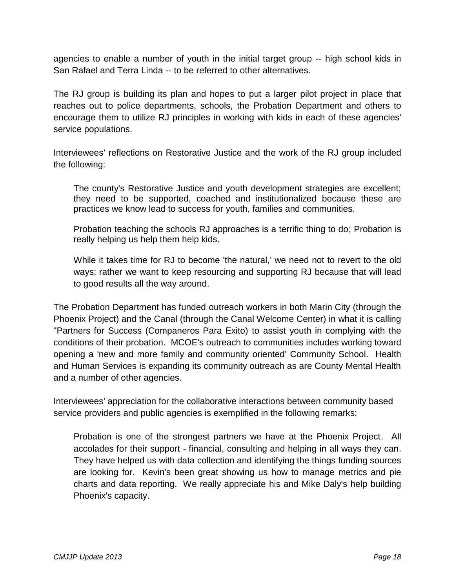agencies to enable a number of youth in the initial target group -- high school kids in San Rafael and Terra Linda -- to be referred to other alternatives.

The RJ group is building its plan and hopes to put a larger pilot project in place that reaches out to police departments, schools, the Probation Department and others to encourage them to utilize RJ principles in working with kids in each of these agencies' service populations.

Interviewees' reflections on Restorative Justice and the work of the RJ group included the following:

The county's Restorative Justice and youth development strategies are excellent; they need to be supported, coached and institutionalized because these are practices we know lead to success for youth, families and communities.

Probation teaching the schools RJ approaches is a terrific thing to do; Probation is really helping us help them help kids.

While it takes time for RJ to become 'the natural,' we need not to revert to the old ways; rather we want to keep resourcing and supporting RJ because that will lead to good results all the way around.

The Probation Department has funded outreach workers in both Marin City (through the Phoenix Project) and the Canal (through the Canal Welcome Center) in what it is calling "Partners for Success (Companeros Para Exito) to assist youth in complying with the conditions of their probation. MCOE's outreach to communities includes working toward opening a 'new and more family and community oriented' Community School. Health and Human Services is expanding its community outreach as are County Mental Health and a number of other agencies.

Interviewees' appreciation for the collaborative interactions between community based service providers and public agencies is exemplified in the following remarks:

Probation is one of the strongest partners we have at the Phoenix Project. All accolades for their support - financial, consulting and helping in all ways they can. They have helped us with data collection and identifying the things funding sources are looking for. Kevin's been great showing us how to manage metrics and pie charts and data reporting. We really appreciate his and Mike Daly's help building Phoenix's capacity.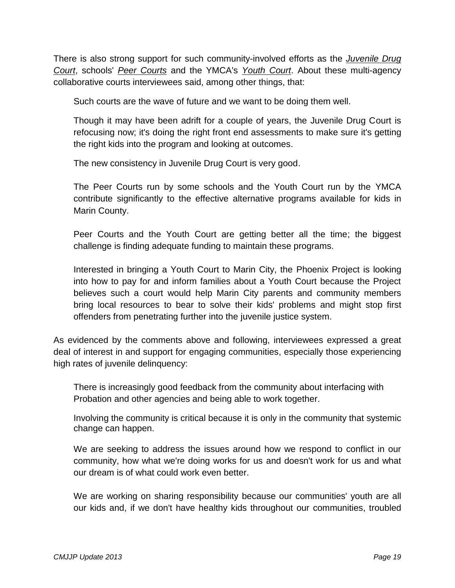There is also strong support for such community-involved efforts as the *Juvenile Drug Court*, schools' *Peer Courts* and the YMCA's *Youth Court*. About these multi-agency collaborative courts interviewees said, among other things, that:

Such courts are the wave of future and we want to be doing them well.

Though it may have been adrift for a couple of years, the Juvenile Drug Court is refocusing now; it's doing the right front end assessments to make sure it's getting the right kids into the program and looking at outcomes.

The new consistency in Juvenile Drug Court is very good.

The Peer Courts run by some schools and the Youth Court run by the YMCA contribute significantly to the effective alternative programs available for kids in Marin County.

Peer Courts and the Youth Court are getting better all the time; the biggest challenge is finding adequate funding to maintain these programs.

Interested in bringing a Youth Court to Marin City, the Phoenix Project is looking into how to pay for and inform families about a Youth Court because the Project believes such a court would help Marin City parents and community members bring local resources to bear to solve their kids' problems and might stop first offenders from penetrating further into the juvenile justice system.

As evidenced by the comments above and following, interviewees expressed a great deal of interest in and support for engaging communities, especially those experiencing high rates of juvenile delinquency:

There is increasingly good feedback from the community about interfacing with Probation and other agencies and being able to work together.

Involving the community is critical because it is only in the community that systemic change can happen.

We are seeking to address the issues around how we respond to conflict in our community, how what we're doing works for us and doesn't work for us and what our dream is of what could work even better.

We are working on sharing responsibility because our communities' youth are all our kids and, if we don't have healthy kids throughout our communities, troubled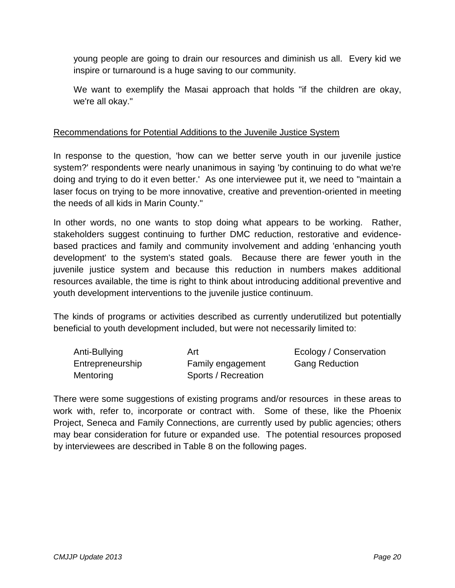young people are going to drain our resources and diminish us all. Every kid we inspire or turnaround is a huge saving to our community.

We want to exemplify the Masai approach that holds "if the children are okay, we're all okay."

#### Recommendations for Potential Additions to the Juvenile Justice System

In response to the question, 'how can we better serve youth in our juvenile justice system?' respondents were nearly unanimous in saying 'by continuing to do what we're doing and trying to do it even better.' As one interviewee put it, we need to "maintain a laser focus on trying to be more innovative, creative and prevention-oriented in meeting the needs of all kids in Marin County."

In other words, no one wants to stop doing what appears to be working. Rather, stakeholders suggest continuing to further DMC reduction, restorative and evidencebased practices and family and community involvement and adding 'enhancing youth development' to the system's stated goals. Because there are fewer youth in the juvenile justice system and because this reduction in numbers makes additional resources available, the time is right to think about introducing additional preventive and youth development interventions to the juvenile justice continuum.

The kinds of programs or activities described as currently underutilized but potentially beneficial to youth development included, but were not necessarily limited to:

| Anti-Bullying    | Art                 | Ecology / Conservation |
|------------------|---------------------|------------------------|
| Entrepreneurship | Family engagement   | <b>Gang Reduction</b>  |
| Mentoring        | Sports / Recreation |                        |

There were some suggestions of existing programs and/or resources in these areas to work with, refer to, incorporate or contract with. Some of these, like the Phoenix Project, Seneca and Family Connections, are currently used by public agencies; others may bear consideration for future or expanded use. The potential resources proposed by interviewees are described in Table 8 on the following pages.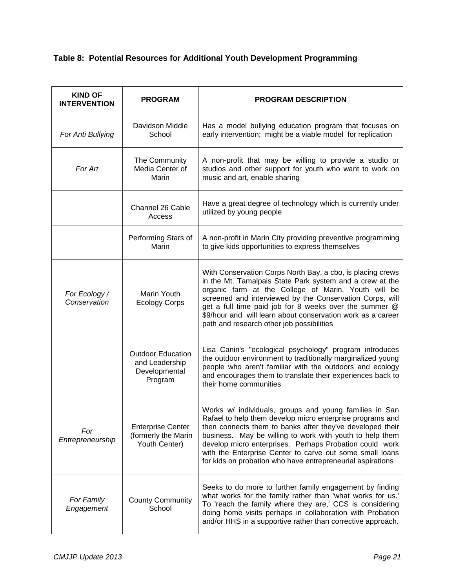#### **Table 8: Potential Resources for Additional Youth Development Programming**

| <b>KIND OF</b><br><b>INTERVENTION</b> | <b>PROGRAM</b>                                                         | <b>PROGRAM DESCRIPTION</b>                                                                                                                                                                                                                                                                                                                                                                                                        |
|---------------------------------------|------------------------------------------------------------------------|-----------------------------------------------------------------------------------------------------------------------------------------------------------------------------------------------------------------------------------------------------------------------------------------------------------------------------------------------------------------------------------------------------------------------------------|
| For Anti Bullying                     | Davidson Middle<br>School                                              | Has a model bullying education program that focuses on<br>early intervention; might be a viable model for replication                                                                                                                                                                                                                                                                                                             |
| For Art                               | The Community<br>Media Center of<br>Marin                              | A non-profit that may be willing to provide a studio or<br>studios and other support for youth who want to work on<br>music and art, enable sharing                                                                                                                                                                                                                                                                               |
|                                       | Channel 26 Cable<br>Access                                             | Have a great degree of technology which is currently under<br>utilized by young people                                                                                                                                                                                                                                                                                                                                            |
|                                       | Performing Stars of<br>Marin                                           | A non-profit in Marin City providing preventive programming<br>to give kids opportunities to express themselves                                                                                                                                                                                                                                                                                                                   |
| For Ecology /<br>Conservation         | Marin Youth<br><b>Ecology Corps</b>                                    | With Conservation Corps North Bay, a cbo, is placing crews<br>in the Mt. Tamalpais State Park system and a crew at the<br>organic farm at the College of Marin. Youth will be<br>screened and interviewed by the Conservation Corps, will<br>get a full time paid job for 8 weeks over the summer @<br>\$9/hour and will learn about conservation work as a career<br>path and research other job possibilities                   |
|                                       | <b>Outdoor Education</b><br>and Leadership<br>Developmental<br>Program | Lisa Canin's "ecological psychology" program introduces<br>the outdoor environment to traditionally marginalized young<br>people who aren't familiar with the outdoors and ecology<br>and encourages them to translate their experiences back to<br>their home communities                                                                                                                                                        |
| For<br>Entrepreneurship               | <b>Enterprise Center</b><br>(formerly the Marin<br>Youth Center)       | Works w/ individuals, groups and young families in San<br>Rafael to help them develop micro enterprise programs and<br>then connects them to banks after they've developed their<br>business. May be willing to work with youth to help them<br>develop micro enterprises. Perhaps Probation could work<br>with the Enterprise Center to carve out some small loans<br>for kids on probation who have entrepreneurial aspirations |
| For Family<br>Engagement              | <b>County Community</b><br>School                                      | Seeks to do more to further family engagement by finding<br>what works for the family rather than 'what works for us.'<br>To 'reach the family where they are,' CCS is considering<br>doing home visits perhaps in collaboration with Probation<br>and/or HHS in a supportive rather than corrective approach.                                                                                                                    |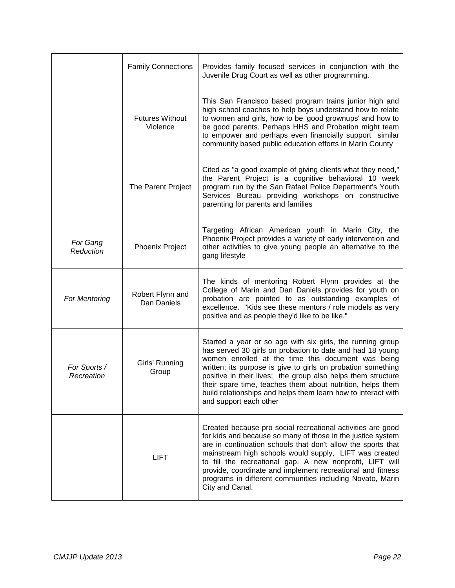|                            | <b>Family Connections</b>          | Provides family focused services in conjunction with the<br>Juvenile Drug Court as well as other programming.                                                                                                                                                                                                                                                                                                                                                          |
|----------------------------|------------------------------------|------------------------------------------------------------------------------------------------------------------------------------------------------------------------------------------------------------------------------------------------------------------------------------------------------------------------------------------------------------------------------------------------------------------------------------------------------------------------|
|                            | <b>Futures Without</b><br>Violence | This San Francisco based program trains junior high and<br>high school coaches to help boys understand how to relate<br>to women and girls, how to be 'good grownups' and how to<br>be good parents. Perhaps HHS and Probation might team<br>to empower and perhaps even financially support similar<br>community based public education efforts in Marin County                                                                                                       |
|                            | The Parent Project                 | Cited as "a good example of giving clients what they need,"<br>the Parent Project is a cognitive behavioral 10 week<br>program run by the San Rafael Police Department's Youth<br>Services Bureau providing workshops on constructive<br>parenting for parents and families                                                                                                                                                                                            |
| For Gang<br>Reduction      | <b>Phoenix Project</b>             | Targeting African American youth in Marin City, the<br>Phoenix Project provides a variety of early intervention and<br>other activities to give young people an alternative to the<br>gang lifestyle                                                                                                                                                                                                                                                                   |
| For Mentoring              | Robert Flynn and<br>Dan Daniels    | The kinds of mentoring Robert Flynn provides at the<br>College of Marin and Dan Daniels provides for youth on<br>probation are pointed to as outstanding examples of<br>excellence. "Kids see these mentors / role models as very<br>positive and as people they'd like to be like."                                                                                                                                                                                   |
| For Sports /<br>Recreation | Girls' Running<br>Group            | Started a year or so ago with six girls, the running group<br>has served 30 girls on probation to date and had 18 young<br>women enrolled at the time this document was being<br>written; its purpose is give to girls on probation something<br>positive in their lives; the group also helps them structure<br>their spare time, teaches them about nutrition, helps them<br>build relationships and helps them learn how to interact with<br>and support each other |
|                            | <b>LIFT</b>                        | Created because pro social recreational activities are good<br>for kids and because so many of those in the justice system<br>are in continuation schools that don't allow the sports that<br>mainstream high schools would supply, LIFT was created<br>to fill the recreational gap. A new nonprofit, LIFT will<br>provide, coordinate and implement recreational and fitness<br>programs in different communities including Novato, Marin<br>City and Canal.         |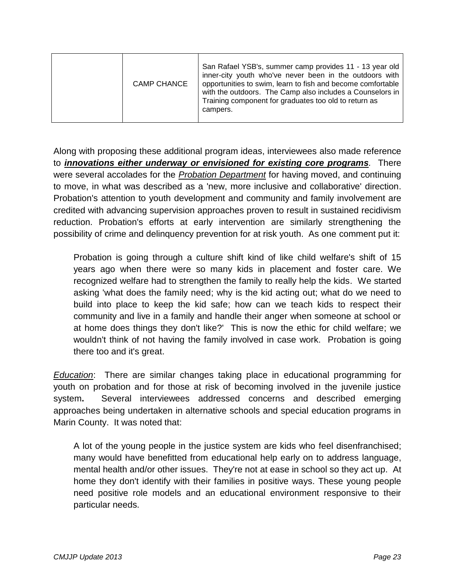| <b>CAMP CHANCE</b> | San Rafael YSB's, summer camp provides 11 - 13 year old<br>inner-city youth who've never been in the outdoors with<br>opportunities to swim, learn to fish and become comfortable<br>with the outdoors. The Camp also includes a Counselors in<br>Training component for graduates too old to return as<br>campers. |
|--------------------|---------------------------------------------------------------------------------------------------------------------------------------------------------------------------------------------------------------------------------------------------------------------------------------------------------------------|
|--------------------|---------------------------------------------------------------------------------------------------------------------------------------------------------------------------------------------------------------------------------------------------------------------------------------------------------------------|

Along with proposing these additional program ideas, interviewees also made reference to *innovations either underway or envisioned for existing core programs.* There were several accolades for the *Probation Department* for having moved, and continuing to move, in what was described as a 'new, more inclusive and collaborative' direction. Probation's attention to youth development and community and family involvement are credited with advancing supervision approaches proven to result in sustained recidivism reduction. Probation's efforts at early intervention are similarly strengthening the possibility of crime and delinquency prevention for at risk youth. As one comment put it:

Probation is going through a culture shift kind of like child welfare's shift of 15 years ago when there were so many kids in placement and foster care. We recognized welfare had to strengthen the family to really help the kids. We started asking 'what does the family need; why is the kid acting out; what do we need to build into place to keep the kid safe; how can we teach kids to respect their community and live in a family and handle their anger when someone at school or at home does things they don't like?' This is now the ethic for child welfare; we wouldn't think of not having the family involved in case work. Probation is going there too and it's great.

*Education*: There are similar changes taking place in educational programming for youth on probation and for those at risk of becoming involved in the juvenile justice system**.** Several interviewees addressed concerns and described emerging approaches being undertaken in alternative schools and special education programs in Marin County. It was noted that:

A lot of the young people in the justice system are kids who feel disenfranchised; many would have benefitted from educational help early on to address language, mental health and/or other issues. They're not at ease in school so they act up. At home they don't identify with their families in positive ways. These young people need positive role models and an educational environment responsive to their particular needs.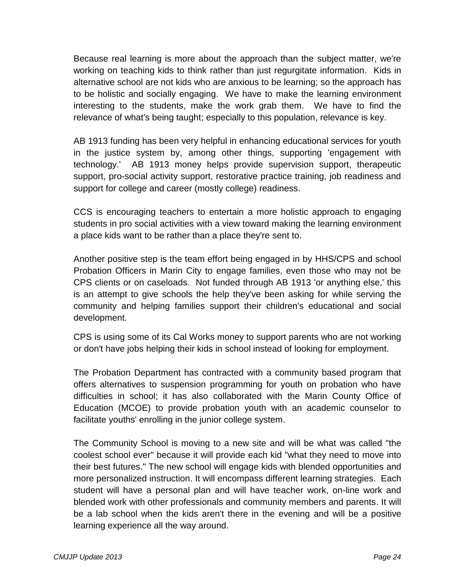Because real learning is more about the approach than the subject matter, we're working on teaching kids to think rather than just regurgitate information. Kids in alternative school are not kids who are anxious to be learning; so the approach has to be holistic and socially engaging. We have to make the learning environment interesting to the students, make the work grab them. We have to find the relevance of what's being taught; especially to this population, relevance is key.

AB 1913 funding has been very helpful in enhancing educational services for youth in the justice system by, among other things, supporting 'engagement with technology.' AB 1913 money helps provide supervision support, therapeutic support, pro-social activity support, restorative practice training, job readiness and support for college and career (mostly college) readiness.

CCS is encouraging teachers to entertain a more holistic approach to engaging students in pro social activities with a view toward making the learning environment a place kids want to be rather than a place they're sent to.

Another positive step is the team effort being engaged in by HHS/CPS and school Probation Officers in Marin City to engage families, even those who may not be CPS clients or on caseloads. Not funded through AB 1913 'or anything else,' this is an attempt to give schools the help they've been asking for while serving the community and helping families support their children's educational and social development.

CPS is using some of its Cal Works money to support parents who are not working or don't have jobs helping their kids in school instead of looking for employment.

The Probation Department has contracted with a community based program that offers alternatives to suspension programming for youth on probation who have difficulties in school; it has also collaborated with the Marin County Office of Education (MCOE) to provide probation youth with an academic counselor to facilitate youths' enrolling in the junior college system.

The Community School is moving to a new site and will be what was called "the coolest school ever" because it will provide each kid "what they need to move into their best futures." The new school will engage kids with blended opportunities and more personalized instruction. It will encompass different learning strategies. Each student will have a personal plan and will have teacher work, on-line work and blended work with other professionals and community members and parents. It will be a lab school when the kids aren't there in the evening and will be a positive learning experience all the way around.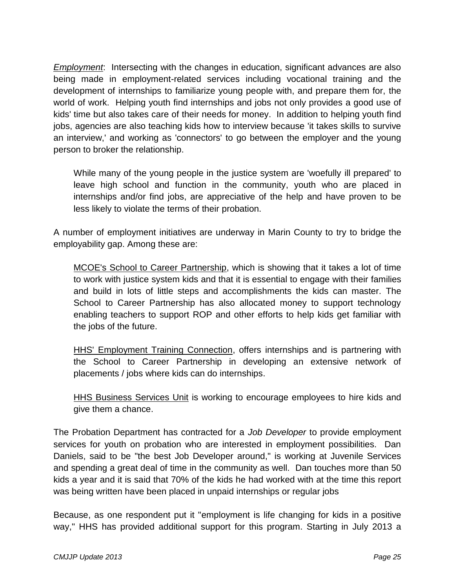*Employment*: Intersecting with the changes in education, significant advances are also being made in employment-related services including vocational training and the development of internships to familiarize young people with, and prepare them for, the world of work. Helping youth find internships and jobs not only provides a good use of kids' time but also takes care of their needs for money. In addition to helping youth find jobs, agencies are also teaching kids how to interview because 'it takes skills to survive an interview,' and working as 'connectors' to go between the employer and the young person to broker the relationship.

While many of the young people in the justice system are 'woefully ill prepared' to leave high school and function in the community, youth who are placed in internships and/or find jobs, are appreciative of the help and have proven to be less likely to violate the terms of their probation.

A number of employment initiatives are underway in Marin County to try to bridge the employability gap. Among these are:

MCOE's School to Career Partnership, which is showing that it takes a lot of time to work with justice system kids and that it is essential to engage with their families and build in lots of little steps and accomplishments the kids can master. The School to Career Partnership has also allocated money to support technology enabling teachers to support ROP and other efforts to help kids get familiar with the jobs of the future.

HHS' Employment Training Connection, offers internships and is partnering with the School to Career Partnership in developing an extensive network of placements / jobs where kids can do internships.

HHS Business Services Unit is working to encourage employees to hire kids and give them a chance.

The Probation Department has contracted for a *Job Developer* to provide employment services for youth on probation who are interested in employment possibilities. Dan Daniels, said to be "the best Job Developer around," is working at Juvenile Services and spending a great deal of time in the community as well. Dan touches more than 50 kids a year and it is said that 70% of the kids he had worked with at the time this report was being written have been placed in unpaid internships or regular jobs

Because, as one respondent put it "employment is life changing for kids in a positive way," HHS has provided additional support for this program. Starting in July 2013 a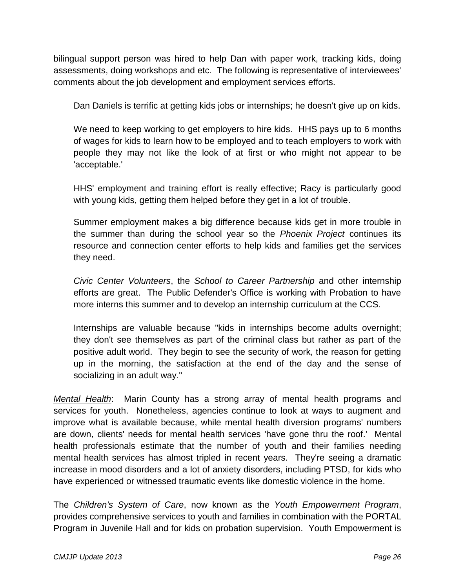bilingual support person was hired to help Dan with paper work, tracking kids, doing assessments, doing workshops and etc. The following is representative of interviewees' comments about the job development and employment services efforts.

Dan Daniels is terrific at getting kids jobs or internships; he doesn't give up on kids.

We need to keep working to get employers to hire kids. HHS pays up to 6 months of wages for kids to learn how to be employed and to teach employers to work with people they may not like the look of at first or who might not appear to be 'acceptable.'

HHS' employment and training effort is really effective; Racy is particularly good with young kids, getting them helped before they get in a lot of trouble.

Summer employment makes a big difference because kids get in more trouble in the summer than during the school year so the *Phoenix Project* continues its resource and connection center efforts to help kids and families get the services they need.

*Civic Center Volunteers*, the *School to Career Partnership* and other internship efforts are great. The Public Defender's Office is working with Probation to have more interns this summer and to develop an internship curriculum at the CCS.

Internships are valuable because "kids in internships become adults overnight; they don't see themselves as part of the criminal class but rather as part of the positive adult world. They begin to see the security of work, the reason for getting up in the morning, the satisfaction at the end of the day and the sense of socializing in an adult way."

*Mental Health*: Marin County has a strong array of mental health programs and services for youth. Nonetheless, agencies continue to look at ways to augment and improve what is available because, while mental health diversion programs' numbers are down, clients' needs for mental health services 'have gone thru the roof.' Mental health professionals estimate that the number of youth and their families needing mental health services has almost tripled in recent years. They're seeing a dramatic increase in mood disorders and a lot of anxiety disorders, including PTSD, for kids who have experienced or witnessed traumatic events like domestic violence in the home.

The *Children's System of Care*, now known as the *Youth Empowerment Program*, provides comprehensive services to youth and families in combination with the PORTAL Program in Juvenile Hall and for kids on probation supervision. Youth Empowerment is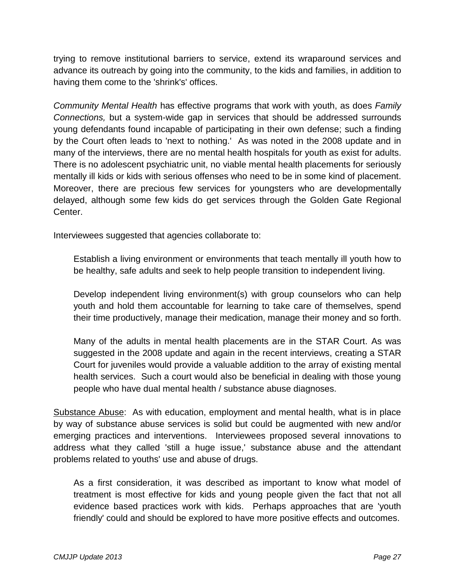trying to remove institutional barriers to service, extend its wraparound services and advance its outreach by going into the community, to the kids and families, in addition to having them come to the 'shrink's' offices.

*Community Mental Health* has effective programs that work with youth, as does *Family Connections,* but a system-wide gap in services that should be addressed surrounds young defendants found incapable of participating in their own defense; such a finding by the Court often leads to 'next to nothing.' As was noted in the 2008 update and in many of the interviews, there are no mental health hospitals for youth as exist for adults. There is no adolescent psychiatric unit, no viable mental health placements for seriously mentally ill kids or kids with serious offenses who need to be in some kind of placement. Moreover, there are precious few services for youngsters who are developmentally delayed, although some few kids do get services through the Golden Gate Regional Center.

Interviewees suggested that agencies collaborate to:

Establish a living environment or environments that teach mentally ill youth how to be healthy, safe adults and seek to help people transition to independent living.

Develop independent living environment(s) with group counselors who can help youth and hold them accountable for learning to take care of themselves, spend their time productively, manage their medication, manage their money and so forth.

Many of the adults in mental health placements are in the STAR Court. As was suggested in the 2008 update and again in the recent interviews, creating a STAR Court for juveniles would provide a valuable addition to the array of existing mental health services. Such a court would also be beneficial in dealing with those young people who have dual mental health / substance abuse diagnoses.

Substance Abuse: As with education, employment and mental health, what is in place by way of substance abuse services is solid but could be augmented with new and/or emerging practices and interventions. Interviewees proposed several innovations to address what they called 'still a huge issue,' substance abuse and the attendant problems related to youths' use and abuse of drugs.

As a first consideration, it was described as important to know what model of treatment is most effective for kids and young people given the fact that not all evidence based practices work with kids. Perhaps approaches that are 'youth friendly' could and should be explored to have more positive effects and outcomes.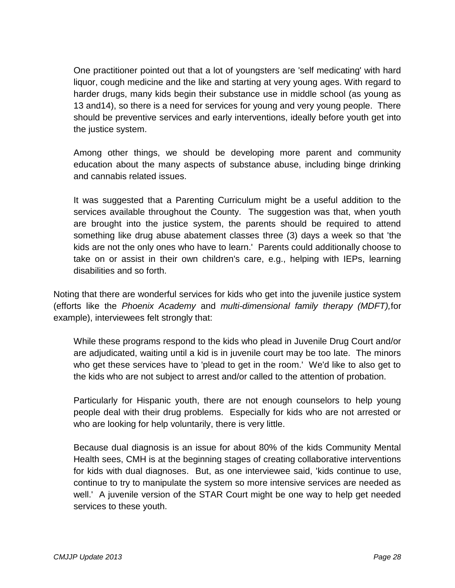One practitioner pointed out that a lot of youngsters are 'self medicating' with hard liquor, cough medicine and the like and starting at very young ages. With regard to harder drugs, many kids begin their substance use in middle school (as young as 13 and14), so there is a need for services for young and very young people. There should be preventive services and early interventions, ideally before youth get into the justice system.

Among other things, we should be developing more parent and community education about the many aspects of substance abuse, including binge drinking and cannabis related issues.

It was suggested that a Parenting Curriculum might be a useful addition to the services available throughout the County. The suggestion was that, when youth are brought into the justice system, the parents should be required to attend something like drug abuse abatement classes three (3) days a week so that 'the kids are not the only ones who have to learn.' Parents could additionally choose to take on or assist in their own children's care, e.g., helping with IEPs, learning disabilities and so forth.

Noting that there are wonderful services for kids who get into the juvenile justice system (efforts like the *Phoenix Academy* and *multi-dimensional family therapy (MDFT),*for example), interviewees felt strongly that:

While these programs respond to the kids who plead in Juvenile Drug Court and/or are adjudicated, waiting until a kid is in juvenile court may be too late. The minors who get these services have to 'plead to get in the room.' We'd like to also get to the kids who are not subject to arrest and/or called to the attention of probation.

Particularly for Hispanic youth, there are not enough counselors to help young people deal with their drug problems. Especially for kids who are not arrested or who are looking for help voluntarily, there is very little.

Because dual diagnosis is an issue for about 80% of the kids Community Mental Health sees, CMH is at the beginning stages of creating collaborative interventions for kids with dual diagnoses. But, as one interviewee said, 'kids continue to use, continue to try to manipulate the system so more intensive services are needed as well.' A juvenile version of the STAR Court might be one way to help get needed services to these youth.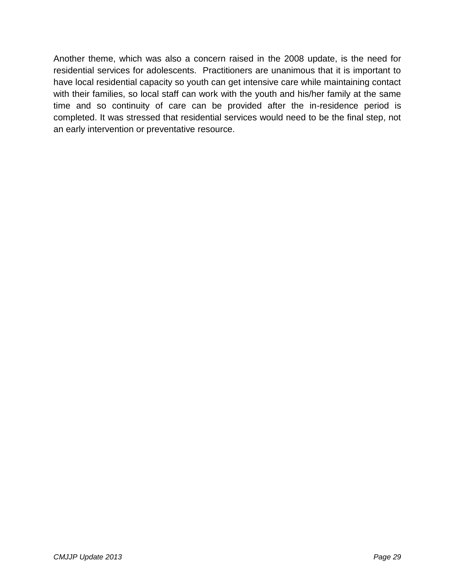Another theme, which was also a concern raised in the 2008 update, is the need for residential services for adolescents. Practitioners are unanimous that it is important to have local residential capacity so youth can get intensive care while maintaining contact with their families, so local staff can work with the youth and his/her family at the same time and so continuity of care can be provided after the in-residence period is completed. It was stressed that residential services would need to be the final step, not an early intervention or preventative resource.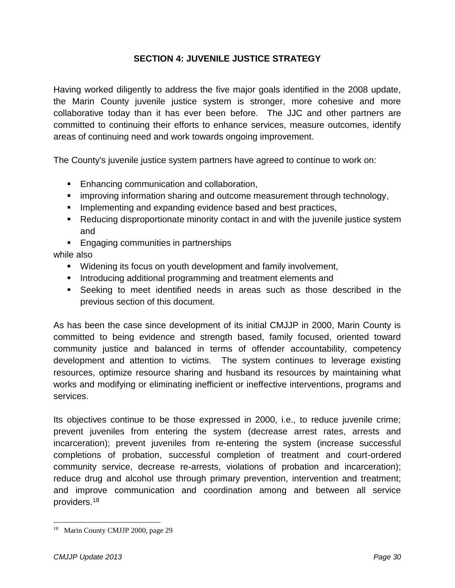#### **SECTION 4: JUVENILE JUSTICE STRATEGY**

Having worked diligently to address the five major goals identified in the 2008 update, the Marin County juvenile justice system is stronger, more cohesive and more collaborative today than it has ever been before. The JJC and other partners are committed to continuing their efforts to enhance services, measure outcomes, identify areas of continuing need and work towards ongoing improvement.

The County's juvenile justice system partners have agreed to continue to work on:

- **Enhancing communication and collaboration,**
- **EXED improving information sharing and outcome measurement through technology,**
- **IMPLEMENTIME:** Implementing and expanding evidence based and best practices,
- Reducing disproportionate minority contact in and with the juvenile justice system and
- **Engaging communities in partnerships**

while also

- Widening its focus on youth development and family involvement,
- Introducing additional programming and treatment elements and
- Seeking to meet identified needs in areas such as those described in the previous section of this document.

As has been the case since development of its initial CMJJP in 2000, Marin County is committed to being evidence and strength based, family focused, oriented toward community justice and balanced in terms of offender accountability, competency development and attention to victims. The system continues to leverage existing resources, optimize resource sharing and husband its resources by maintaining what works and modifying or eliminating inefficient or ineffective interventions, programs and services.

Its objectives continue to be those expressed in 2000, i.e., to reduce juvenile crime; prevent juveniles from entering the system (decrease arrest rates, arrests and incarceration); prevent juveniles from re-entering the system (increase successful completions of probation, successful completion of treatment and court-ordered community service, decrease re-arrests, violations of probation and incarceration); reduce drug and alcohol use through primary prevention, intervention and treatment; and improve communication and coordination among and between all service providers.<sup>18</sup>

 $\overline{a}$ 

<sup>&</sup>lt;sup>18</sup> Marin County CMJJP 2000, page 29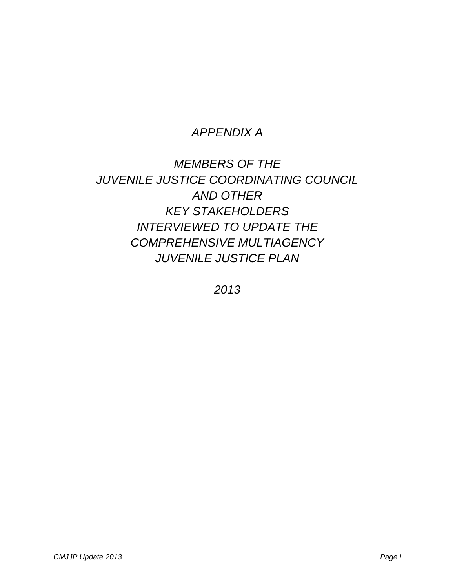## *APPENDIX A*

*MEMBERS OF THE JUVENILE JUSTICE COORDINATING COUNCIL AND OTHER KEY STAKEHOLDERS INTERVIEWED TO UPDATE THE COMPREHENSIVE MULTIAGENCY JUVENILE JUSTICE PLAN*

*2013*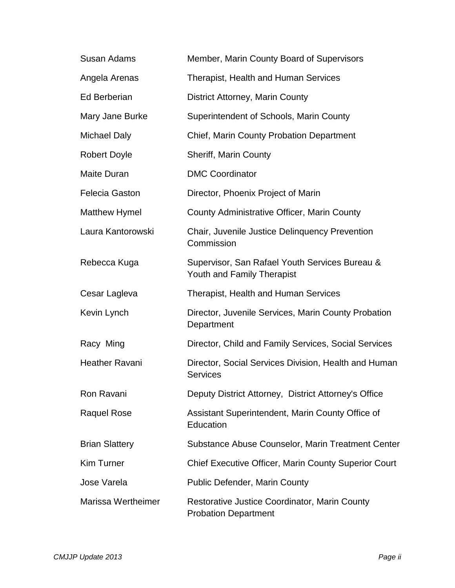| <b>Susan Adams</b>        | Member, Marin County Board of Supervisors                                    |
|---------------------------|------------------------------------------------------------------------------|
| Angela Arenas             | <b>Therapist, Health and Human Services</b>                                  |
| <b>Ed Berberian</b>       | <b>District Attorney, Marin County</b>                                       |
| Mary Jane Burke           | Superintendent of Schools, Marin County                                      |
| <b>Michael Daly</b>       | <b>Chief, Marin County Probation Department</b>                              |
| <b>Robert Doyle</b>       | <b>Sheriff, Marin County</b>                                                 |
| Maite Duran               | <b>DMC Coordinator</b>                                                       |
| <b>Felecia Gaston</b>     | Director, Phoenix Project of Marin                                           |
| <b>Matthew Hymel</b>      | County Administrative Officer, Marin County                                  |
| Laura Kantorowski         | Chair, Juvenile Justice Delinquency Prevention<br>Commission                 |
| Rebecca Kuga              | Supervisor, San Rafael Youth Services Bureau &<br>Youth and Family Therapist |
| Cesar Lagleva             | Therapist, Health and Human Services                                         |
| Kevin Lynch               | Director, Juvenile Services, Marin County Probation<br>Department            |
| Racy Ming                 | Director, Child and Family Services, Social Services                         |
| <b>Heather Ravani</b>     | Director, Social Services Division, Health and Human<br><b>Services</b>      |
| Ron Ravani                | Deputy District Attorney, District Attorney's Office                         |
| <b>Raquel Rose</b>        | Assistant Superintendent, Marin County Office of<br>Education                |
| <b>Brian Slattery</b>     | Substance Abuse Counselor, Marin Treatment Center                            |
| <b>Kim Turner</b>         | <b>Chief Executive Officer, Marin County Superior Court</b>                  |
| <b>Jose Varela</b>        | <b>Public Defender, Marin County</b>                                         |
| <b>Marissa Wertheimer</b> | Restorative Justice Coordinator, Marin County<br><b>Probation Department</b> |